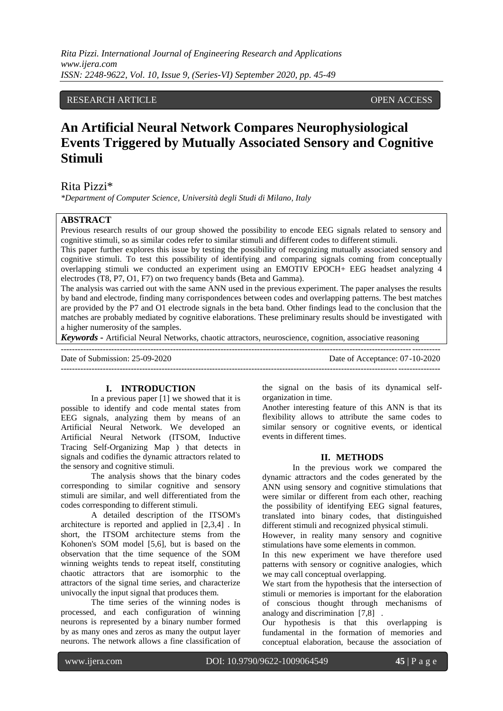# RESEARCH ARTICLE **OPEN ACCESS**

# **An Artificial Neural Network Compares Neurophysiological Events Triggered by Mutually Associated Sensory and Cognitive Stimuli**

## Rita Pizzi\*

*\*Department of Computer Science, Università degli Studi di Milano, Italy*

## **ABSTRACT**

Previous research results of our group showed the possibility to encode EEG signals related to sensory and cognitive stimuli, so as similar codes refer to similar stimuli and different codes to different stimuli.

This paper further explores this issue by testing the possibility of recognizing mutually associated sensory and cognitive stimuli. To test this possibility of identifying and comparing signals coming from conceptually overlapping stimuli we conducted an experiment using an EMOTIV EPOCH+ EEG headset analyzing 4 electrodes (T8, P7, O1, F7) on two frequency bands (Beta and Gamma).

The analysis was carried out with the same ANN used in the previous experiment. The paper analyses the results by band and electrode, finding many corrispondences between codes and overlapping patterns. The best matches are provided by the P7 and O1 electrode signals in the beta band. Other findings lead to the conclusion that the matches are probably mediated by cognitive elaborations. These preliminary results should be investigated with a higher numerosity of the samples.

*Keywords -* Artificial Neural Networks, chaotic attractors, neuroscience, cognition, associative reasoning

--------------------------------------------------------------------------------------------------------------------------------------- Date of Submission: 25-09-2020 Date of Acceptance: 07-10-2020

 $-1-\frac{1}{2}$ 

## **I. INTRODUCTION**

In a previous paper [1] we showed that it is possible to identify and code mental states from EEG signals, analyzing them by means of an Artificial Neural Network. We developed an Artificial Neural Network (ITSOM, Inductive Tracing Self-Organizing Map ) that detects in signals and codifies the dynamic attractors related to the sensory and cognitive stimuli.

The analysis shows that the binary codes corresponding to similar cognitive and sensory stimuli are similar, and well differentiated from the codes corresponding to different stimuli.

A detailed description of the ITSOM's architecture is reported and applied in [2,3,4] . In short, the ITSOM architecture stems from the Kohonen's SOM model [5,6], but is based on the observation that the time sequence of the SOM winning weights tends to repeat itself, constituting chaotic attractors that are isomorphic to the attractors of the signal time series, and characterize univocally the input signal that produces them.

The time series of the winning nodes is processed, and each configuration of winning neurons is represented by a binary number formed by as many ones and zeros as many the output layer neurons. The network allows a fine classification of

the signal on the basis of its dynamical selforganization in time.

Another interesting feature of this ANN is that its flexibility allows to attribute the same codes to similar sensory or cognitive events, or identical events in different times.

#### **II. METHODS**

In the previous work we compared the dynamic attractors and the codes generated by the ANN using sensory and cognitive stimulations that were similar or different from each other, reaching the possibility of identifying EEG signal features, translated into binary codes, that distinguished different stimuli and recognized physical stimuli.

However, in reality many sensory and cognitive stimulations have some elements in common.

In this new experiment we have therefore used patterns with sensory or cognitive analogies, which we may call conceptual overlapping.

We start from the hypothesis that the intersection of stimuli or memories is important for the elaboration of conscious thought through mechanisms of analogy and discrimination [7,8] .

Our hypothesis is that this overlapping is fundamental in the formation of memories and conceptual elaboration, because the association of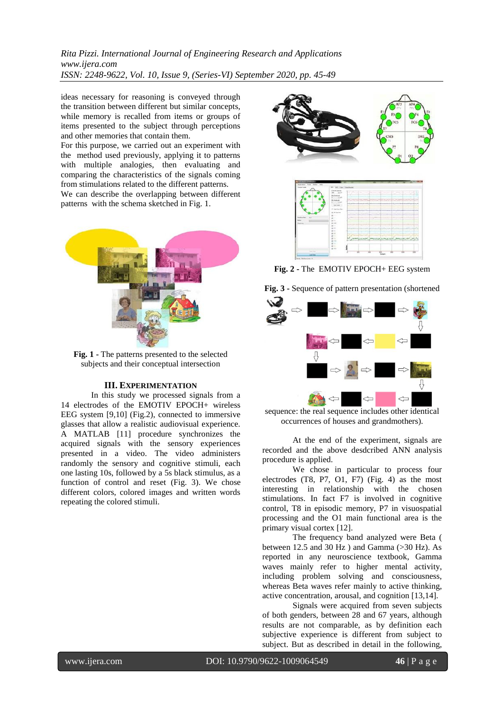*Rita Pizzi. International Journal of Engineering Research and Applications www.ijera.com ISSN: 2248-9622, Vol. 10, Issue 9, (Series-VI) September 2020, pp. 45-49*

ideas necessary for reasoning is conveyed through the transition between different but similar concepts, while memory is recalled from items or groups of items presented to the subject through perceptions and other memories that contain them.

For this purpose, we carried out an experiment with the method used previously, applying it to patterns with multiple analogies, then evaluating and comparing the characteristics of the signals coming from stimulations related to the different patterns. We can describe the overlapping between different patterns with the schema sketched in Fig. 1.



**Fig. 1 -** The patterns presented to the selected subjects and their conceptual intersection

## **III. EXPERIMENTATION**

In this study we processed signals from a 14 electrodes of the EMOTIV EPOCH+ wireless EEG system [9,10] (Fig.2), connected to immersive glasses that allow a realistic audiovisual experience. A MATLAB [11] procedure synchronizes the acquired signals with the sensory experiences presented in a video. The video administers randomly the sensory and cognitive stimuli, each one lasting 10s, followed by a 5s black stimulus, as a function of control and reset (Fig. 3). We chose different colors, colored images and written words repeating the colored stimuli.





**Fig. 2 -** The EMOTIV EPOCH+ EEG system

**Fig. 3 -** Sequence of pattern presentation (shortened



sequence: the real sequence includes other identical occurrences of houses and grandmothers).

At the end of the experiment, signals are recorded and the above desdcribed ANN analysis procedure is applied.

We chose in particular to process four electrodes (T8, P7, O1, F7) (Fig. 4) as the most interesting in relationship with the chosen stimulations. In fact F7 is involved in cognitive control, T8 in episodic memory, P7 in visuospatial processing and the O1 main functional area is the primary visual cortex [12].

The frequency band analyzed were Beta ( between 12.5 and 30 Hz ) and Gamma (>30 Hz). As reported in any neuroscience textbook, Gamma waves mainly refer to higher mental activity, including problem solving and consciousness, whereas Beta waves refer mainly to active thinking, active concentration, arousal, and cognition [13,14].

Signals were acquired from seven subjects of both genders, between 28 and 67 years, although results are not comparable, as by definition each subjective experience is different from subject to subject. But as described in detail in the following,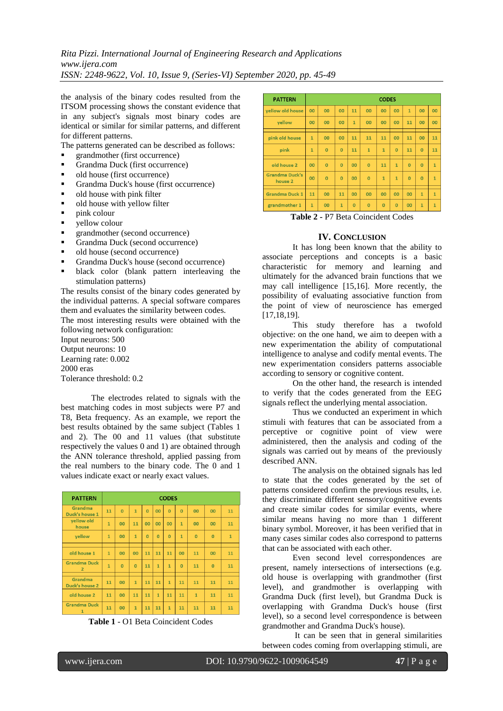*Rita Pizzi. International Journal of Engineering Research and Applications www.ijera.com ISSN: 2248-9622, Vol. 10, Issue 9, (Series-VI) September 2020, pp. 45-49*

the analysis of the binary codes resulted from the ITSOM processing shows the constant evidence that in any subject's signals most binary codes are identical or similar for similar patterns, and different for different patterns.

The patterns generated can be described as follows:

- grandmother (first occurrence)
- Grandma Duck (first occurrence)
- old house (first occurrence)
- Grandma Duck's house (first occurrence)
- old house with pink filter
- old house with yellow filter
- $\blacksquare$  pink colour
- yellow colour
- grandmother (second occurrence)
- Grandma Duck (second occurrence)
- old house (second occurrence)
- Grandma Duck's house (second occurrence)
- black color (blank pattern interleaving the stimulation patterns)

The results consist of the binary codes generated by the individual patterns. A special software compares them and evaluates the similarity between codes. The most interesting results were obtained with the

following network configuration:

Input neurons: 500 Output neurons: 10 Learning rate: 0.002 2000 eras Tolerance threshold: 0.2

The electrodes related to signals with the best matching codes in most subjects were P7 and T8, Beta frequency. As an example, we report the best results obtained by the same subject (Tables 1 and 2). The 00 and 11 values (that substitute respectively the values 0 and 1) are obtained through the ANN tolerance threshold, applied passing from the real numbers to the binary code. The 0 and 1 values indicate exact or nearly exact values.

| <b>PATTERN</b>                        | <b>CODES</b> |                |                |                |                |              |              |              |                |              |
|---------------------------------------|--------------|----------------|----------------|----------------|----------------|--------------|--------------|--------------|----------------|--------------|
| Grandma<br>Duck's house 1             | 11           | $\overline{0}$ | $\mathbf{1}$   | $\overline{0}$ | 00             | $\Omega$     | $\Omega$     | 00           | 00             | 11           |
| yellow old<br>house                   | $\mathbf{1}$ | 00             | 11             | 00             | 00             | 00           | $\mathbf{1}$ | 00           | 00             | 11           |
| yellow                                | $\mathbf{1}$ | 00             | $\mathbf{1}$   | $\overline{0}$ | $\overline{0}$ | $\Omega$     | $\mathbf{1}$ | $\Omega$     | $\Omega$       | $\mathbf{1}$ |
|                                       |              |                |                |                |                |              |              |              |                |              |
| old house 1                           | $\mathbf{1}$ | 00             | 00             | 11             | 11             | 11           | 00           | 11           | 00             | 11           |
| <b>Grandma Duck</b><br>$\overline{2}$ | $\mathbf{1}$ | $\Omega$       | $\overline{0}$ | 11             | $\mathbf{1}$   | $\mathbf{1}$ | $\Omega$     | 11           | $\overline{0}$ | 11           |
|                                       |              |                |                |                |                |              |              |              |                |              |
| Grandma<br>Duck's house 2             | 11           | 00             | $\mathbf{1}$   | 11             | 11             | $\mathbf{1}$ | 11           | 11           | 11             | 11           |
| old house 2                           | 11           | 00             | 11             | 11             | $\overline{1}$ | 11           | 11           | $\mathbf{1}$ | 11             | 11           |
| <b>Grandma Duck</b><br>$\mathbf{1}$   | 11           | 00             | $\mathbf{1}$   | 11             | 11             | $\mathbf{1}$ | 11           | 11           | 11             | 11           |



| <b>PATTERN</b>                   | <b>CODES</b> |                |                |                |                |                |                |                |                |                |
|----------------------------------|--------------|----------------|----------------|----------------|----------------|----------------|----------------|----------------|----------------|----------------|
| <b>vellow old house</b>          | 00           | 00             | 00             | 11             | 00             | 00             | 00             | $\mathbf{1}$   | 00             | 00             |
| yellow                           | 00           | 00             | 00             | $\mathbf{1}$   | 00             | 00             | 00             | 11             | 00             | 00             |
| pink old house                   | $\mathbf{1}$ | 00             | 00             | 11             | 11             | 11             | 00             | 11             | 00             | 11             |
| pink                             | $\mathbf{1}$ | $\Omega$       | $\Omega$       | 11             | $\mathbf{1}$   | $\mathbf{1}$   | $\overline{0}$ | 11             | $\Omega$       | 11             |
| old house 2                      | 00           | $\Omega$       | $\Omega$       | 00             | $\Omega$       | 11             | $\overline{1}$ | $\Omega$       | $\Omega$       | $\overline{1}$ |
| <b>Grandma Duck's</b><br>house 2 | 00           | $\overline{0}$ | $\overline{0}$ | 00             | $\overline{0}$ | $\mathbf{1}$   | $\overline{1}$ | $\overline{0}$ | $\overline{0}$ | $\overline{1}$ |
| <b>Grandma Duck 1</b>            | 11           | 00             | 11             | 00             | 00             | 00             | 00             | 00             | $\mathbf{1}$   | $\overline{1}$ |
| grandmother 1                    | $\mathbf{1}$ | 00             | $\mathbf{1}$   | $\overline{0}$ | $\overline{0}$ | $\overline{0}$ | $\overline{0}$ | 00             | $\mathbf{1}$   | $\overline{1}$ |

**Table 2 -** P7 Beta Coincident Codes

## **IV. CONCLUSION**

It has long been known that the ability to associate perceptions and concepts is a basic characteristic for memory and learning and ultimately for the advanced brain functions that we may call intelligence [15,16]. More recently, the possibility of evaluating associative function from the point of view of neuroscience has emerged [17,18,19].

This study therefore has a twofold objective: on the one hand, we aim to deepen with a new experimentation the ability of computational intelligence to analyse and codify mental events. The new experimentation considers patterns associable according to sensory or cognitive content.

On the other hand, the research is intended to verify that the codes generated from the EEG signals reflect the underlying mental association.

Thus we conducted an experiment in which stimuli with features that can be associated from a perceptive or cognitive point of view were administered, then the analysis and coding of the signals was carried out by means of the previously described ANN.

The analysis on the obtained signals has led to state that the codes generated by the set of patterns considered confirm the previous results, i.e. they discriminate different sensory/cognitive events and create similar codes for similar events, where similar means having no more than 1 different binary symbol. Moreover, it has been verified that in many cases similar codes also correspond to patterns that can be associated with each other.

Even second level correspondences are present, namely intersections of intersections (e.g. old house is overlapping with grandmother (first level), and grandmother is overlapping with Grandma Duck (first level), but Grandma Duck is overlapping with Grandma Duck's house (first level), so a second level correspondence is between grandmother and Grandma Duck's house).

It can be seen that in general similarities between codes coming from overlapping stimuli, are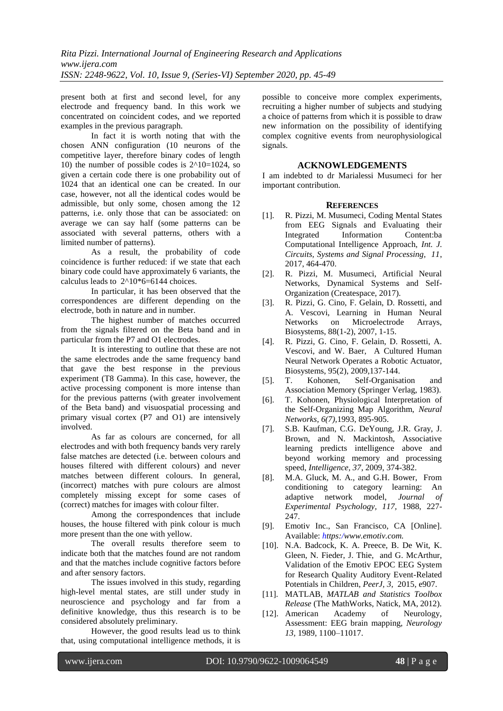present both at first and second level, for any electrode and frequency band. In this work we concentrated on coincident codes, and we reported examples in the previous paragraph.

In fact it is worth noting that with the chosen ANN configuration (10 neurons of the competitive layer, therefore binary codes of length 10) the number of possible codes is  $2^{\wedge}10=1024$ , so given a certain code there is one probability out of 1024 that an identical one can be created. In our case, however, not all the identical codes would be admissible, but only some, chosen among the 12 patterns, i.e. only those that can be associated: on average we can say half (some patterns can be associated with several patterns, others with a limited number of patterns).

As a result, the probability of code coincidence is further reduced: if we state that each binary code could have approximately 6 variants, the calculus leads to  $2^{\wedge}10^*6=6144$  choices.

In particular, it has been observed that the correspondences are different depending on the electrode, both in nature and in number.

The highest number of matches occurred from the signals filtered on the Beta band and in particular from the P7 and O1 electrodes.

It is interesting to outline that these are not the same electrodes ande the same frequency band that gave the best response in the previous experiment (T8 Gamma). In this case, however, the active processing component is more intense than for the previous patterns (with greater involvement of the Beta band) and visuospatial processing and primary visual cortex (P7 and O1) are intensively involved.

As far as colours are concerned, for all electrodes and with both frequency bands very rarely false matches are detected (i.e. between colours and houses filtered with different colours) and never matches between different colours. In general, (incorrect) matches with pure colours are almost completely missing except for some cases of (correct) matches for images with colour filter.

Among the correspondences that include houses, the house filtered with pink colour is much more present than the one with yellow.

The overall results therefore seem to indicate both that the matches found are not random and that the matches include cognitive factors before and after sensory factors.

The issues involved in this study, regarding high-level mental states, are still under study in neuroscience and psychology and far from a definitive knowledge, thus this research is to be considered absolutely preliminary.

However, the good results lead us to think that, using computational intelligence methods, it is

possible to conceive more complex experiments, recruiting a higher number of subjects and studying a choice of patterns from which it is possible to draw new information on the possibility of identifying complex cognitive events from neurophysiological signals.

## **ACKNOWLEDGEMENTS**

I am indebted to dr Marialessi Musumeci for her important contribution.

## **REFERENCES**

- [1]. R. Pizzi, M. Musumeci, Coding Mental States from EEG Signals and Evaluating their<br>Integrated Information Content:ba Integrated Information Computational Intelligence Approach, *Int. J. Circuits, Systems and Signal Processing, 11*, 2017, 464-470.
- [2]. R. Pizzi, M. Musumeci, Artificial Neural Networks, Dynamical Systems and Self-Organization (Createspace, 2017).
- [3]. R. Pizzi, G. Cino, F. Gelain, D. Rossetti, and A. Vescovi, Learning in Human Neural Networks on Microelectrode Arrays, Biosystems, 88(1-2), 2007, 1-15.
- [4]. R. Pizzi, G. Cino, F. Gelain, D. Rossetti, A. Vescovi, and W. Baer, A Cultured Human Neural Network Operates a Robotic Actuator, Biosystems, 95(2), 2009,137-144.
- [5]. T. Kohonen, Self-Organisation and Association Memory (Springer Verlag, 1983).
- [6]. T. Kohonen, Physiological Interpretation of the Self-Organizing Map Algorithm, *Neural Networks, 6(7),*1993, 895-905.
- [7]. S.B. Kaufman, C.G. DeYoung, J.R. Gray, J. Brown, and N. Mackintosh, Associative learning predicts intelligence above and beyond working memory and processing speed, *Intelligence, 37*, 2009, 374-382.
- [8]. M.A. Gluck, M. A., and G.H. Bower, From conditioning to category learning: An adaptive network model, *Journal of Experimental Psychology, 117,* 1988, 227- 247.
- [9]. Emotiv Inc., San Francisco, CA [Online]. Available: *https:[/www.emotiv.com.](http://www.emotiv.com/)*
- [10]. N.A. Badcock, K. A. Preece, B. De Wit, K. Gleen, N. Fieder, J. Thie, and G. McArthur, Validation of the Emotiv EPOC EEG System for Research Quality Auditory Event-Related Potentials in Children, *PeerJ, 3*, 2015, e907.
- [11]. MATLAB, *MATLAB and Statistics Toolbox Release* (The MathWorks, Natick, MA, 2012).
- [12]. American Academy of Neurology, Assessment: EEG brain mapping, *Neurology 13,* 1989, 1100–11017.